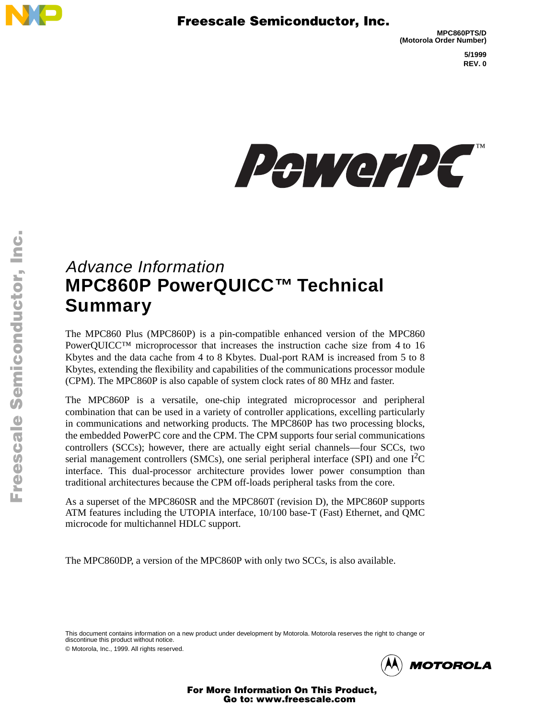



# Advance Information **MPC860P PowerQUICC™ Technical Summary**

The MPC860 Plus (MPC860P) is a pin-compatible enhanced version of the MPC860 PowerQUICC™ microprocessor that increases the instruction cache size from 4 to 16 Kbytes and the data cache from 4 to 8 Kbytes. Dual-port RAM is increased from 5 to 8 Kbytes, extending the flexibility and capabilities of the communications processor module (CPM). The MPC860P is also capable of system clock rates of 80 MHz and faster.

The MPC860P is a versatile, one-chip integrated microprocessor and peripheral combination that can be used in a variety of controller applications, excelling particularly in communications and networking products. The MPC860P has two processing blocks, the embedded PowerPC core and the CPM. The CPM supports four serial communications controllers (SCCs); however, there are actually eight serial channels—four SCCs, two serial management controllers (SMCs), one serial peripheral interface (SPI) and one  $I<sup>2</sup>C$ interface. This dual-processor architecture provides lower power consumption than traditional architectures because the CPM off-loads peripheral tasks from the core.

As a superset of the MPC860SR and the MPC860T (revision D), the MPC860P supports ATM features including the UTOPIA interface, 10/100 base-T (Fast) Ethernet, and QMC microcode for multichannel HDLC support.

The MPC860DP, a version of the MPC860P with only two SCCs, is also available.

This document contains information on a new product under development by Motorola. Motorola reserves the right to change or discontinue this product without notice.





For More Information On This Product, Go to: www.freescale.com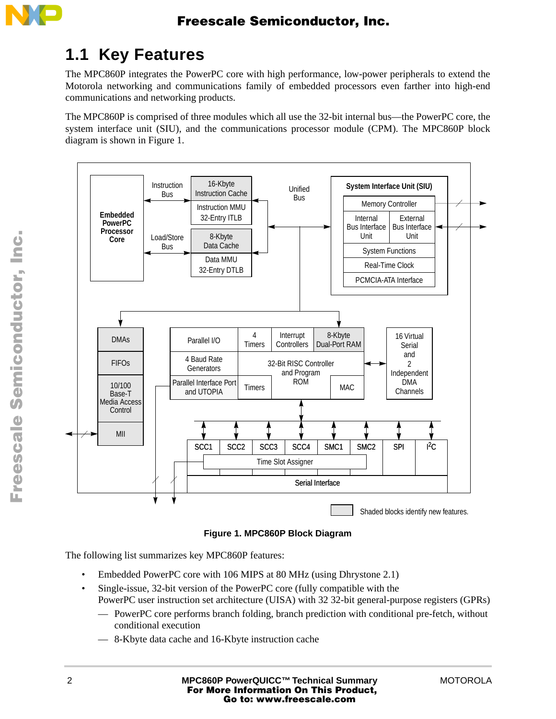

## **1.1 Key Features**

The MPC860P integrates the PowerPC core with high performance, low-power peripherals to extend the Motorola networking and communications family of embedded processors even farther into high-end communications and networking products.

The MPC860P is comprised of three modules which all use the 32-bit internal bus—the PowerPC core, the system interface unit (SIU), and the communications processor module (CPM). The MPC860P block diagram is shown in [Figure 1](#page-1-0).



**Figure 1. MPC860P Block Diagram**

<span id="page-1-0"></span>The following list summarizes key MPC860P features:

- Embedded PowerPC core with 106 MIPS at 80 MHz (using Dhrystone 2.1)
- Single-issue, 32-bit version of the PowerPC core (fully compatible with the PowerPC user instruction set architecture (UISA) with 32 32-bit general-purpose registers (GPRs)
	- PowerPC core performs branch folding, branch prediction with conditional pre-fetch, without conditional execution
	- 8-Kbyte data cache and 16-Kbyte instruction cache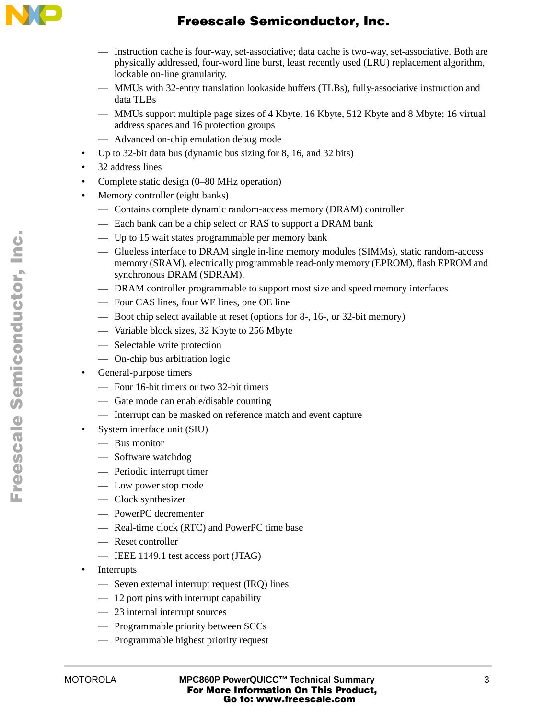

- Instruction cache is four-way, set-associative; data cache is two-way, set-associative. Both are physically addressed, four-word line burst, least recently used (LRU) replacement algorithm, lockable on-line granularity.
- MMUs with 32-entry translation lookaside buffers (TLBs), fully-associative instruction and data TLBs
- MMUs support multiple page sizes of 4 Kbyte, 16 Kbyte, 512 Kbyte and 8 Mbyte; 16 virtual address spaces and 16 protection groups
- Advanced on-chip emulation debug mode
- Up to 32-bit data bus (dynamic bus sizing for 8, 16, and 32 bits)
- 32 address lines
- Complete static design (0–80 MHz operation)
- Memory controller (eight banks)
	- Contains complete dynamic random-access memory (DRAM) controller
	- Each bank can be a chip select or  $\overline{RAS}$  to support a DRAM bank
	- Up to 15 wait states programmable per memory bank
	- Glueless interface to DRAM single in-line memory modules (SIMMs), static random-access memory (SRAM), electrically programmable read-only memory (EPROM), flash EPROM and synchronous DRAM (SDRAM).
	- DRAM controller programmable to support most size and speed memory interfaces
	- Four  $\overline{CAS}$  lines, four  $\overline{WE}$  lines, one  $\overline{OE}$  line
	- Boot chip select available at reset (options for 8-, 16-, or 32-bit memory)
	- Variable block sizes, 32 Kbyte to 256 Mbyte
	- Selectable write protection
	- On-chip bus arbitration logic
- General-purpose timers
	- Four 16-bit timers or two 32-bit timers
	- Gate mode can enable/disable counting
	- Interrupt can be masked on reference match and event capture
- System interface unit (SIU)
	- Bus monitor
	- Software watchdog
	- Periodic interrupt timer
	- Low power stop mode
	- Clock synthesizer
	- PowerPC decrementer
	- Real-time clock (RTC) and PowerPC time base
	- Reset controller
	- IEEE 1149.1 test access port (JTAG)
- Interrupts
	- Seven external interrupt request (IRQ) lines
	- 12 port pins with interrupt capability
	- 23 internal interrupt sources
	- Programmable priority between SCCs
	- Programmable highest priority request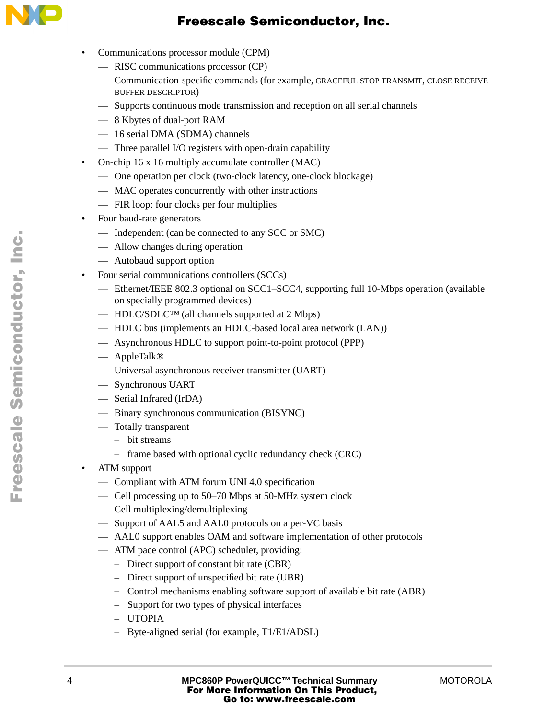

- Communications processor module (CPM)
	- RISC communications processor (CP)
	- Communication-specific commands (for example, GRACEFUL STOP TRANSMIT, CLOSE RECEIVE BUFFER DESCRIPTOR)
	- Supports continuous mode transmission and reception on all serial channels
	- 8 Kbytes of dual-port RAM
	- 16 serial DMA (SDMA) channels
	- Three parallel I/O registers with open-drain capability
- On-chip 16 x 16 multiply accumulate controller (MAC)
	- One operation per clock (two-clock latency, one-clock blockage)
	- MAC operates concurrently with other instructions
	- FIR loop: four clocks per four multiplies
- Four baud-rate generators
	- Independent (can be connected to any SCC or SMC)
	- Allow changes during operation
	- Autobaud support option
- Four serial communications controllers (SCCs)
	- Ethernet/IEEE 802.3 optional on SCC1–SCC4, supporting full 10-Mbps operation (available on specially programmed devices)
	- HDLC/SDLC<sup>TM</sup> (all channels supported at 2 Mbps)
	- HDLC bus (implements an HDLC-based local area network (LAN))
	- Asynchronous HDLC to support point-to-point protocol (PPP)
	- AppleTalk®
	- Universal asynchronous receiver transmitter (UART)
	- Synchronous UART
	- Serial Infrared (IrDA)
	- Binary synchronous communication (BISYNC)
	- Totally transparent
		- bit streams
		- frame based with optional cyclic redundancy check (CRC)
- ATM support
	- Compliant with ATM forum UNI 4.0 specification
	- Cell processing up to 50–70 Mbps at 50-MHz system clock
	- Cell multiplexing/demultiplexing
	- Support of AAL5 and AAL0 protocols on a per-VC basis
	- AAL0 support enables OAM and software implementation of other protocols
	- ATM pace control (APC) scheduler, providing:
		- Direct support of constant bit rate (CBR)
		- Direct support of unspecified bit rate (UBR)
		- Control mechanisms enabling software support of available bit rate (ABR)
		- Support for two types of physical interfaces
		- UTOPIA
		- Byte-aligned serial (for example, T1/E1/ADSL)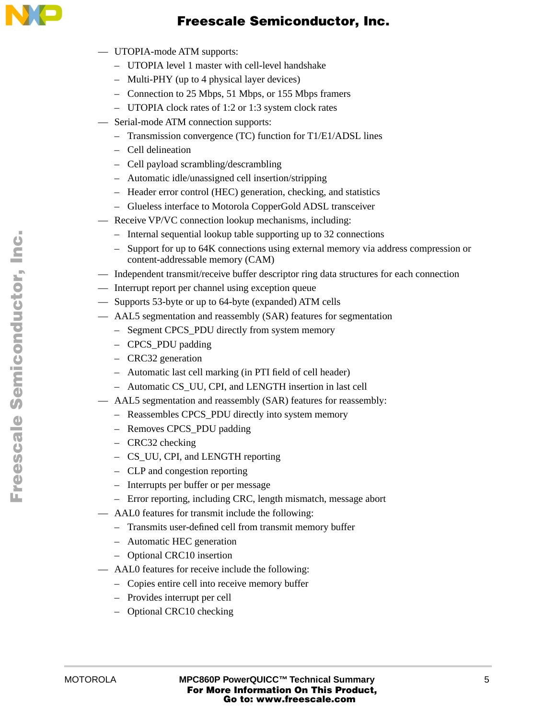

- UTOPIA-mode ATM supports:
	- UTOPIA level 1 master with cell-level handshake
	- Multi-PHY (up to 4 physical layer devices)
	- Connection to 25 Mbps, 51 Mbps, or 155 Mbps framers
	- UTOPIA clock rates of 1:2 or 1:3 system clock rates
- Serial-mode ATM connection supports:
	- Transmission convergence (TC) function for T1/E1/ADSL lines
	- Cell delineation
	- Cell payload scrambling/descrambling
	- Automatic idle/unassigned cell insertion/stripping
	- Header error control (HEC) generation, checking, and statistics
	- Glueless interface to Motorola CopperGold ADSL transceiver
	- Receive VP/VC connection lookup mechanisms, including:
		- Internal sequential lookup table supporting up to 32 connections
		- Support for up to 64K connections using external memory via address compression or content-addressable memory (CAM)
- Independent transmit/receive buffer descriptor ring data structures for each connection
- Interrupt report per channel using exception queue
- Supports 53-byte or up to 64-byte (expanded) ATM cells
- AAL5 segmentation and reassembly (SAR) features for segmentation
	- Segment CPCS PDU directly from system memory
	- CPCS\_PDU padding
	- CRC32 generation
	- Automatic last cell marking (in PTI field of cell header)
	- Automatic CS\_UU, CPI, and LENGTH insertion in last cell
- AAL5 segmentation and reassembly (SAR) features for reassembly:
	- Reassembles CPCS\_PDU directly into system memory
	- Removes CPCS\_PDU padding
	- CRC32 checking
	- CS\_UU, CPI, and LENGTH reporting
	- CLP and congestion reporting
	- Interrupts per buffer or per message
	- Error reporting, including CRC, length mismatch, message abort
- AAL0 features for transmit include the following:
	- Transmits user-defined cell from transmit memory buffer
	- Automatic HEC generation
	- Optional CRC10 insertion
- AAL0 features for receive include the following:
	- Copies entire cell into receive memory buffer
	- Provides interrupt per cell
	- Optional CRC10 checking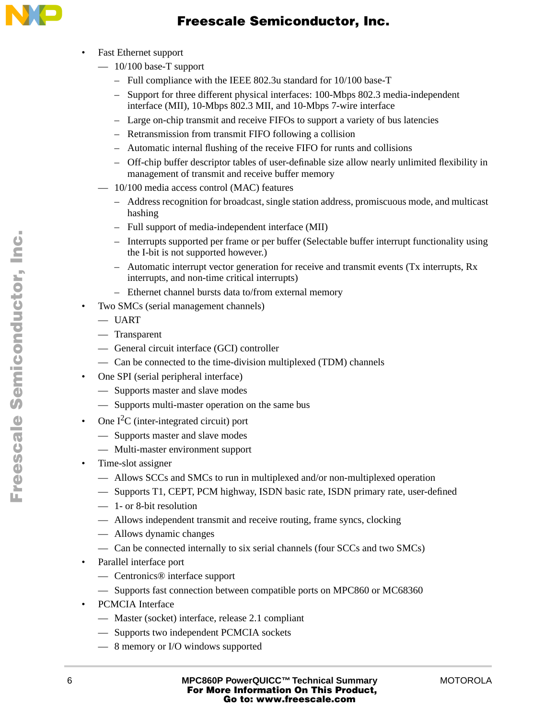

- Fast Ethernet support
	- $-10/100$  base-T support
		- Full compliance with the IEEE 802.3u standard for 10/100 base-T
		- Support for three different physical interfaces: 100-Mbps 802.3 media-independent interface (MII), 10-Mbps 802.3 MII, and 10-Mbps 7-wire interface
		- Large on-chip transmit and receive FIFOs to support a variety of bus latencies
		- Retransmission from transmit FIFO following a collision
		- Automatic internal flushing of the receive FIFO for runts and collisions
		- Off-chip buffer descriptor tables of user-definable size allow nearly unlimited flexibility in management of transmit and receive buffer memory
	- 10/100 media access control (MAC) features
		- Address recognition for broadcast, single station address, promiscuous mode, and multicast hashing
		- Full support of media-independent interface (MII)
		- Interrupts supported per frame or per buffer (Selectable buffer interrupt functionality using the I-bit is not supported however.)
		- Automatic interrupt vector generation for receive and transmit events (Tx interrupts, Rx interrupts, and non-time critical interrupts)
		- Ethernet channel bursts data to/from external memory
- Two SMCs (serial management channels)
	- UART
	- Transparent
	- General circuit interface (GCI) controller
	- Can be connected to the time-division multiplexed (TDM) channels
- One SPI (serial peripheral interface)
	- Supports master and slave modes
	- Supports multi-master operation on the same bus
- One  $I<sup>2</sup>C$  (inter-integrated circuit) port
	- Supports master and slave modes
	- Multi-master environment support
- Time-slot assigner
	- Allows SCCs and SMCs to run in multiplexed and/or non-multiplexed operation
	- Supports T1, CEPT, PCM highway, ISDN basic rate, ISDN primary rate, user-defined
	- 1- or 8-bit resolution
	- Allows independent transmit and receive routing, frame syncs, clocking
	- Allows dynamic changes
	- Can be connected internally to six serial channels (four SCCs and two SMCs)
- Parallel interface port
	- Centronics® interface support
	- Supports fast connection between compatible ports on MPC860 or MC68360
- PCMCIA Interface
	- Master (socket) interface, release 2.1 compliant
	- Supports two independent PCMCIA sockets
	- 8 memory or I/O windows supported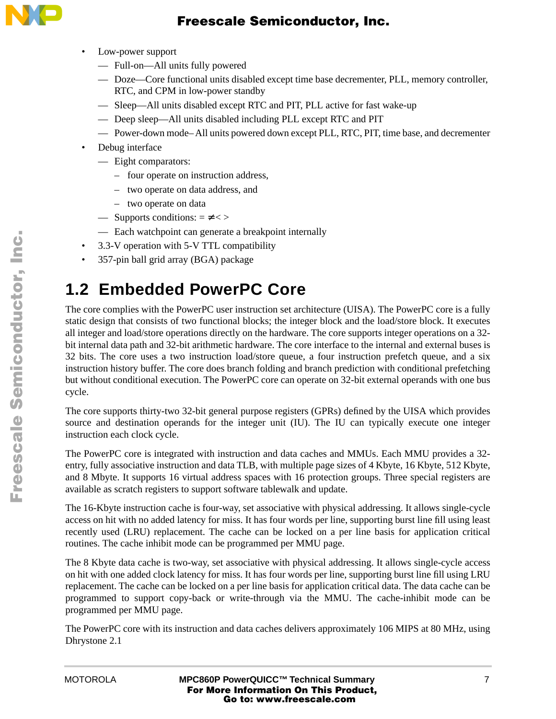

- Low-power support
	- Full-on—All units fully powered
	- Doze—Core functional units disabled except time base decrementer, PLL, memory controller, RTC, and CPM in low-power standby
	- Sleep—All units disabled except RTC and PIT, PLL active for fast wake-up
	- Deep sleep—All units disabled including PLL except RTC and PIT
	- Power-down mode– All units powered down except PLL, RTC, PIT, time base, and decrementer
- Debug interface
	- Eight comparators:
		- four operate on instruction address,
		- two operate on data address, and
		- two operate on data
	- Supports conditions:  $= \neq$  < >
	- Each watchpoint can generate a breakpoint internally
- 3.3-V operation with 5-V TTL compatibility
- 357-pin ball grid array (BGA) package

# **1.2 Embedded PowerPC Core**

The core complies with the PowerPC user instruction set architecture (UISA). The PowerPC core is a fully static design that consists of two functional blocks; the integer block and the load/store block. It executes all integer and load/store operations directly on the hardware. The core supports integer operations on a 32 bit internal data path and 32-bit arithmetic hardware. The core interface to the internal and external buses is 32 bits. The core uses a two instruction load/store queue, a four instruction prefetch queue, and a six instruction history buffer. The core does branch folding and branch prediction with conditional prefetching but without conditional execution. The PowerPC core can operate on 32-bit external operands with one bus cycle.

The core supports thirty-two 32-bit general purpose registers (GPRs) defined by the UISA which provides source and destination operands for the integer unit (IU). The IU can typically execute one integer instruction each clock cycle.

The PowerPC core is integrated with instruction and data caches and MMUs. Each MMU provides a 32 entry, fully associative instruction and data TLB, with multiple page sizes of 4 Kbyte, 16 Kbyte, 512 Kbyte, and 8 Mbyte. It supports 16 virtual address spaces with 16 protection groups. Three special registers are available as scratch registers to support software tablewalk and update.

The 16-Kbyte instruction cache is four-way, set associative with physical addressing. It allows single-cycle access on hit with no added latency for miss. It has four words per line, supporting burst line fill using least recently used (LRU) replacement. The cache can be locked on a per line basis for application critical routines. The cache inhibit mode can be programmed per MMU page.

The 8 Kbyte data cache is two-way, set associative with physical addressing. It allows single-cycle access on hit with one added clock latency for miss. It has four words per line, supporting burst line fill using LRU replacement. The cache can be locked on a per line basis for application critical data. The data cache can be programmed to support copy-back or write-through via the MMU. The cache-inhibit mode can be programmed per MMU page.

The PowerPC core with its instruction and data caches delivers approximately 106 MIPS at 80 MHz, using Dhrystone 2.1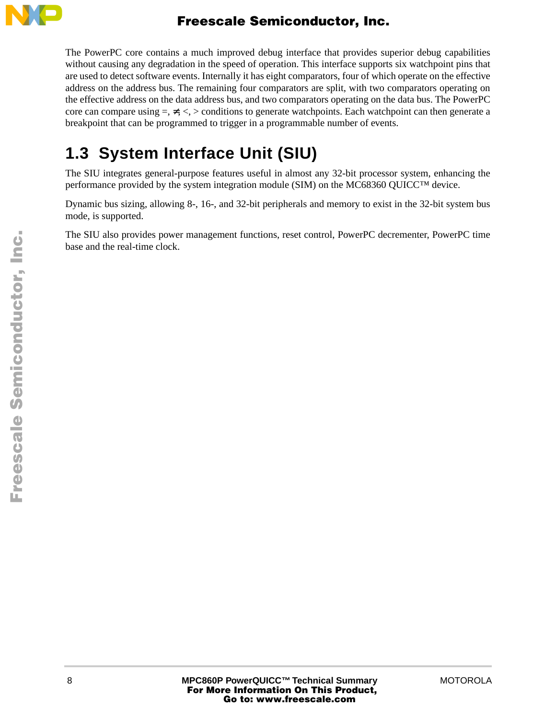

The PowerPC core contains a much improved debug interface that provides superior debug capabilities without causing any degradation in the speed of operation. This interface supports six watchpoint pins that are used to detect software events. Internally it has eight comparators, four of which operate on the effective address on the address bus. The remaining four comparators are split, with two comparators operating on the effective address on the data address bus, and two comparators operating on the data bus. The PowerPC core can compare using  $=$ ,  $\neq$ ,  $\lt$ ,  $>$  conditions to generate watchpoints. Each watchpoint can then generate a breakpoint that can be programmed to trigger in a programmable number of events.

# **1.3 System Interface Unit (SIU)**

The SIU integrates general-purpose features useful in almost any 32-bit processor system, enhancing the performance provided by the system integration module (SIM) on the MC68360 QUICC™ device.

Dynamic bus sizing, allowing 8-, 16-, and 32-bit peripherals and memory to exist in the 32-bit system bus mode, is supported.

The SIU also provides power management functions, reset control, PowerPC decrementer, PowerPC time base and the real-time clock.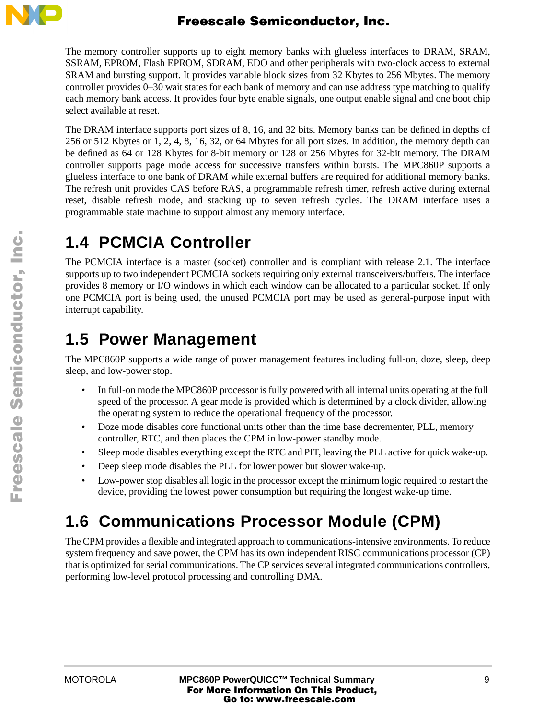

The memory controller supports up to eight memory banks with glueless interfaces to DRAM, SRAM, SSRAM, EPROM, Flash EPROM, SDRAM, EDO and other peripherals with two-clock access to external SRAM and bursting support. It provides variable block sizes from 32 Kbytes to 256 Mbytes. The memory controller provides 0–30 wait states for each bank of memory and can use address type matching to qualify each memory bank access. It provides four byte enable signals, one output enable signal and one boot chip select available at reset.

The DRAM interface supports port sizes of 8, 16, and 32 bits. Memory banks can be defined in depths of 256 or 512 Kbytes or 1, 2, 4, 8, 16, 32, or 64 Mbytes for all port sizes. In addition, the memory depth can be defined as 64 or 128 Kbytes for 8-bit memory or 128 or 256 Mbytes for 32-bit memory. The DRAM controller supports page mode access for successive transfers within bursts. The MPC860P supports a glueless interface to one bank of DRAM while external buffers are required for additional memory banks. The refresh unit provides  $\overline{CAS}$  before  $\overline{RAS}$ , a programmable refresh timer, refresh active during external reset, disable refresh mode, and stacking up to seven refresh cycles. The DRAM interface uses a programmable state machine to support almost any memory interface.

# **1.4 PCMCIA Controller**

The PCMCIA interface is a master (socket) controller and is compliant with release 2.1. The interface supports up to two independent PCMCIA sockets requiring only external transceivers/buffers. The interface provides 8 memory or I/O windows in which each window can be allocated to a particular socket. If only one PCMCIA port is being used, the unused PCMCIA port may be used as general-purpose input with interrupt capability.

## **1.5 Power Management**

The MPC860P supports a wide range of power management features including full-on, doze, sleep, deep sleep, and low-power stop.

- In full-on mode the MPC860P processor is fully powered with all internal units operating at the full speed of the processor. A gear mode is provided which is determined by a clock divider, allowing the operating system to reduce the operational frequency of the processor.
- Doze mode disables core functional units other than the time base decrementer, PLL, memory controller, RTC, and then places the CPM in low-power standby mode.
- Sleep mode disables everything except the RTC and PIT, leaving the PLL active for quick wake-up.
- Deep sleep mode disables the PLL for lower power but slower wake-up.
- Low-power stop disables all logic in the processor except the minimum logic required to restart the device, providing the lowest power consumption but requiring the longest wake-up time.

# **1.6 Communications Processor Module (CPM)**

The CPM provides a flexible and integrated approach to communications-intensive environments. To reduce system frequency and save power, the CPM has its own independent RISC communications processor (CP) that is optimized for serial communications. The CP services several integrated communications controllers, performing low-level protocol processing and controlling DMA.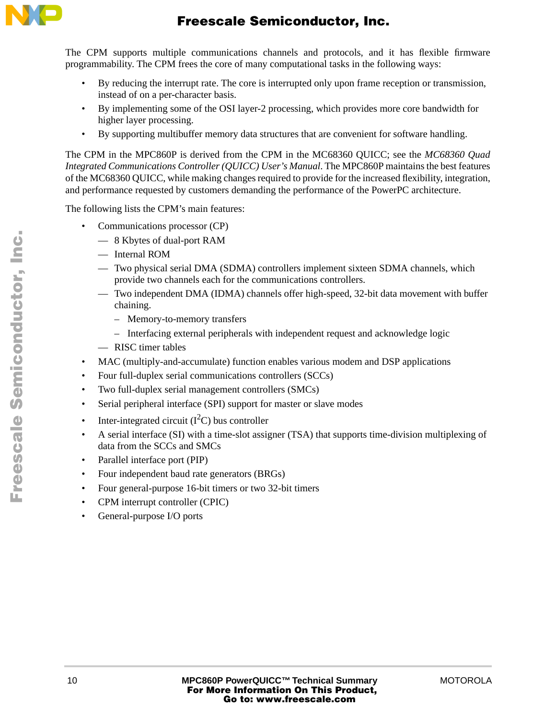

The CPM supports multiple communications channels and protocols, and it has flexible firmware programmability. The CPM frees the core of many computational tasks in the following ways:

- By reducing the interrupt rate. The core is interrupted only upon frame reception or transmission, instead of on a per-character basis.
- By implementing some of the OSI layer-2 processing, which provides more core bandwidth for higher layer processing.
- By supporting multibuffer memory data structures that are convenient for software handling.

The CPM in the MPC860P is derived from the CPM in the MC68360 QUICC; see the *MC68360 Quad Integrated Communications Controller (QUICC) User's Manual*. The MPC860P maintains the best features of the MC68360 QUICC, while making changes required to provide for the increased flexibility, integration, and performance requested by customers demanding the performance of the PowerPC architecture.

The following lists the CPM's main features:

- Communications processor (CP)
	- 8 Kbytes of dual-port RAM
	- Internal ROM
	- Two physical serial DMA (SDMA) controllers implement sixteen SDMA channels, which provide two channels each for the communications controllers.
	- Two independent DMA (IDMA) channels offer high-speed, 32-bit data movement with buffer chaining.
		- Memory-to-memory transfers
		- Interfacing external peripherals with independent request and acknowledge logic
	- RISC timer tables
- MAC (multiply-and-accumulate) function enables various modem and DSP applications
- Four full-duplex serial communications controllers (SCCs)
- Two full-duplex serial management controllers (SMCs)
- Serial peripheral interface (SPI) support for master or slave modes
- Inter-integrated circuit  $(I<sup>2</sup>C)$  bus controller
- A serial interface (SI) with a time-slot assigner (TSA) that supports time-division multiplexing of data from the SCCs and SMCs
- Parallel interface port (PIP)
- Four independent baud rate generators (BRGs)
- Four general-purpose 16-bit timers or two 32-bit timers
- CPM interrupt controller (CPIC)
- General-purpose I/O ports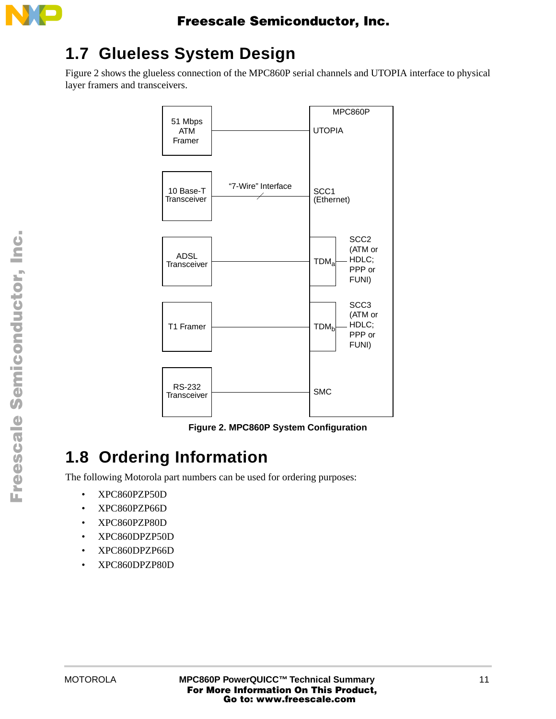

## **1.7 Glueless System Design**

[Figure 2](#page-10-0) shows the glueless connection of the MPC860P serial channels and UTOPIA interface to physical layer framers and transceivers.



**Figure 2. MPC860P System Configuration** 

# <span id="page-10-0"></span>**1.8 Ordering Information**

The following Motorola part numbers can be used for ordering purposes:

- XPC860PZP50D
- XPC860PZP66D
- XPC860PZP80D
- XPC860DPZP50D
- XPC860DPZP66D
- XPC860DPZP80D